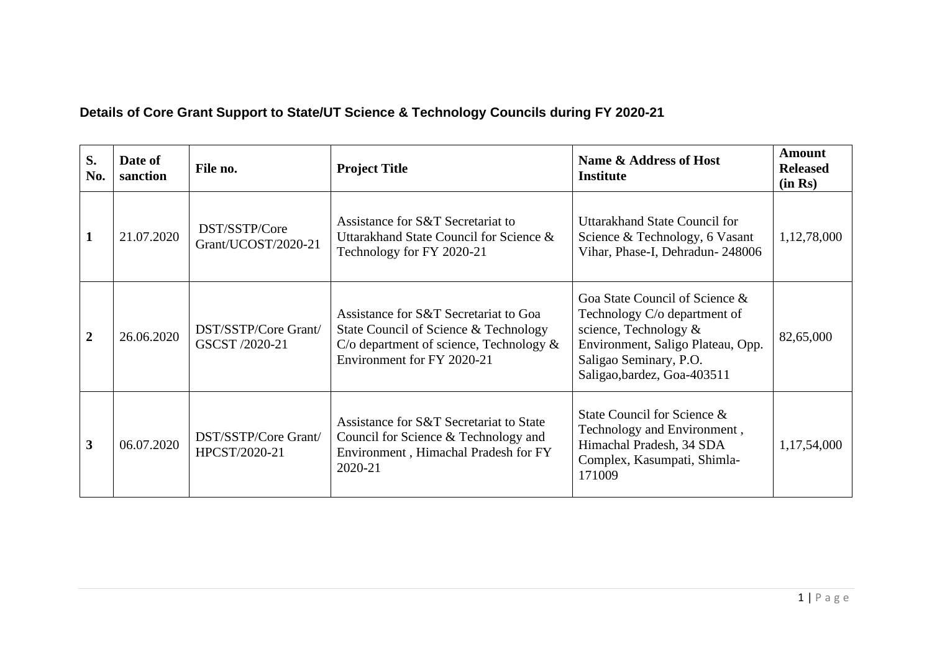## **Details of Core Grant Support to State/UT Science & Technology Councils during FY 2020-21**

| S.<br>No.      | Date of<br>sanction | File no.                               | <b>Project Title</b>                                                                                                                                       | Name & Address of Host<br><b>Institute</b>                                                                                                                                               | Amount<br><b>Released</b><br>(in Rs) |
|----------------|---------------------|----------------------------------------|------------------------------------------------------------------------------------------------------------------------------------------------------------|------------------------------------------------------------------------------------------------------------------------------------------------------------------------------------------|--------------------------------------|
|                | 21.07.2020          | DST/SSTP/Core<br>Grant/UCOST/2020-21   | Assistance for S&T Secretariat to<br>Uttarakhand State Council for Science &<br>Technology for FY 2020-21                                                  | Uttarakhand State Council for<br>Science & Technology, 6 Vasant<br>Vihar, Phase-I, Dehradun-248006                                                                                       | 1,12,78,000                          |
| $\overline{2}$ | 26.06.2020          | DST/SSTP/Core Grant/<br>GSCST /2020-21 | Assistance for S&T Secretariat to Goa<br>State Council of Science & Technology<br>C/o department of science, Technology $\&$<br>Environment for FY 2020-21 | Goa State Council of Science &<br>Technology C/o department of<br>science, Technology $\&$<br>Environment, Saligo Plateau, Opp.<br>Saligao Seminary, P.O.<br>Saligao, bardez, Goa-403511 | 82,65,000                            |
| 3              | 06.07.2020          | DST/SSTP/Core Grant/<br>HPCST/2020-21  | Assistance for S&T Secretariat to State<br>Council for Science & Technology and<br>Environment, Himachal Pradesh for FY<br>2020-21                         | State Council for Science &<br>Technology and Environment,<br>Himachal Pradesh, 34 SDA<br>Complex, Kasumpati, Shimla-<br>171009                                                          | 1,17,54,000                          |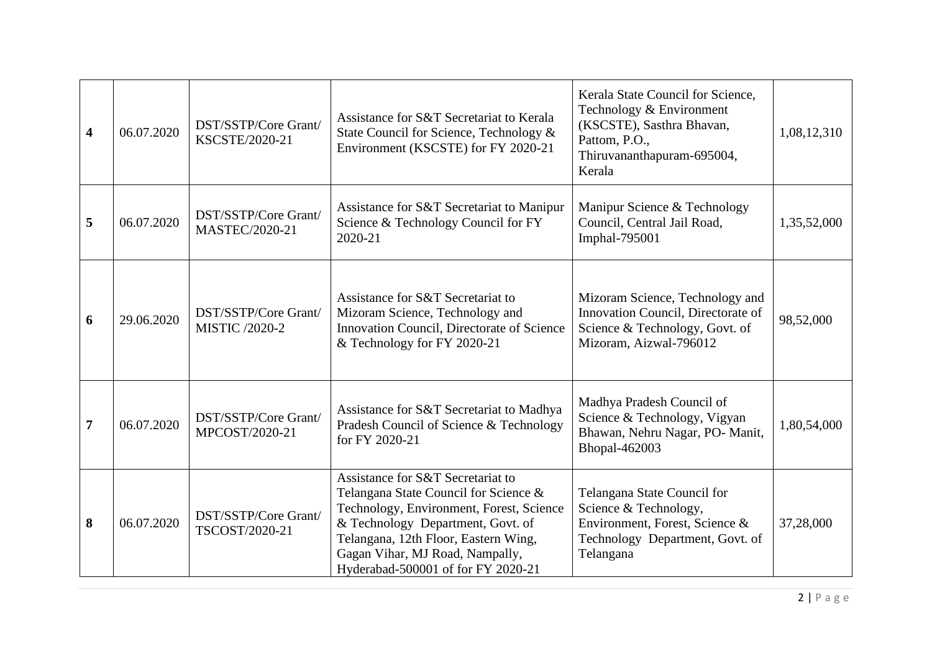| $\overline{\mathbf{4}}$ | 06.07.2020 | DST/SSTP/Core Grant/<br>KSCSTE/2020-21 | Assistance for S&T Secretariat to Kerala<br>State Council for Science, Technology &<br>Environment (KSCSTE) for FY 2020-21                                                                                                                                                   | Kerala State Council for Science,<br>Technology & Environment<br>(KSCSTE), Sasthra Bhavan,<br>Pattom, P.O.,<br>Thiruvananthapuram-695004,<br>Kerala | 1,08,12,310 |
|-------------------------|------------|----------------------------------------|------------------------------------------------------------------------------------------------------------------------------------------------------------------------------------------------------------------------------------------------------------------------------|-----------------------------------------------------------------------------------------------------------------------------------------------------|-------------|
| 5                       | 06.07.2020 | DST/SSTP/Core Grant/<br>MASTEC/2020-21 | Assistance for S&T Secretariat to Manipur<br>Science & Technology Council for FY<br>2020-21                                                                                                                                                                                  | Manipur Science & Technology<br>Council, Central Jail Road,<br>Imphal-795001                                                                        | 1,35,52,000 |
| 6                       | 29.06.2020 | DST/SSTP/Core Grant/<br>MISTIC /2020-2 | Assistance for S&T Secretariat to<br>Mizoram Science, Technology and<br>Innovation Council, Directorate of Science<br>& Technology for FY 2020-21                                                                                                                            | Mizoram Science, Technology and<br>Innovation Council, Directorate of<br>Science & Technology, Govt. of<br>Mizoram, Aizwal-796012                   | 98,52,000   |
| $\overline{7}$          | 06.07.2020 | DST/SSTP/Core Grant/<br>MPCOST/2020-21 | Assistance for S&T Secretariat to Madhya<br>Pradesh Council of Science & Technology<br>for FY 2020-21                                                                                                                                                                        | Madhya Pradesh Council of<br>Science & Technology, Vigyan<br>Bhawan, Nehru Nagar, PO- Manit,<br>Bhopal-462003                                       | 1,80,54,000 |
| 8                       | 06.07.2020 | DST/SSTP/Core Grant/<br>TSCOST/2020-21 | Assistance for S&T Secretariat to<br>Telangana State Council for Science &<br>Technology, Environment, Forest, Science<br>& Technology Department, Govt. of<br>Telangana, 12th Floor, Eastern Wing,<br>Gagan Vihar, MJ Road, Nampally,<br>Hyderabad-500001 of for FY 2020-21 | Telangana State Council for<br>Science & Technology,<br>Environment, Forest, Science &<br>Technology Department, Govt. of<br>Telangana              | 37,28,000   |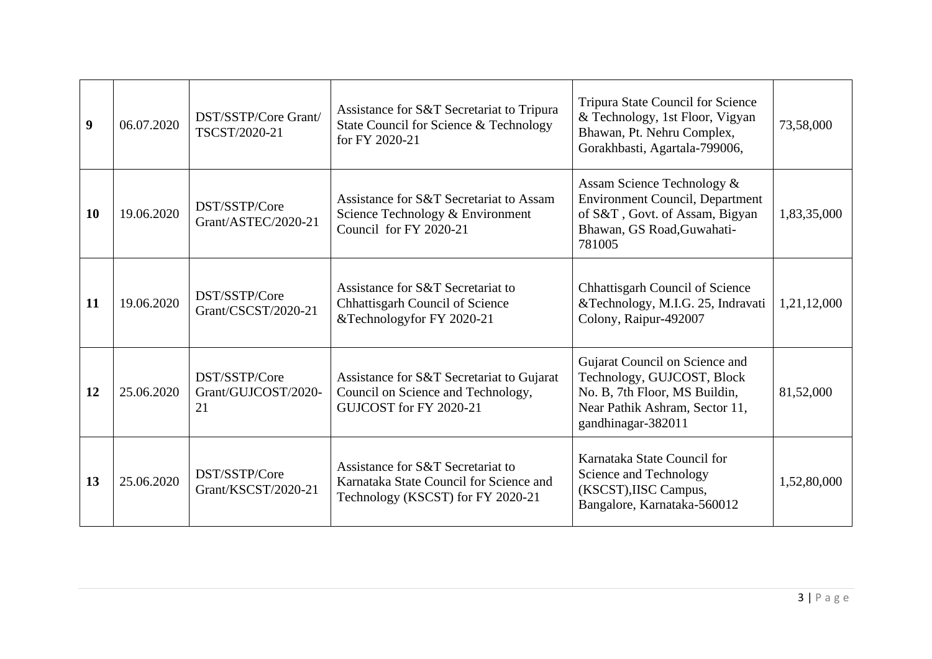| 9         | 06.07.2020 | DST/SSTP/Core Grant/<br>TSCST/2020-21      | Assistance for S&T Secretariat to Tripura<br>State Council for Science & Technology<br>for FY 2020-21             | <b>Tripura State Council for Science</b><br>& Technology, 1st Floor, Vigyan<br>Bhawan, Pt. Nehru Complex,<br>Gorakhbasti, Agartala-799006,            | 73,58,000   |
|-----------|------------|--------------------------------------------|-------------------------------------------------------------------------------------------------------------------|-------------------------------------------------------------------------------------------------------------------------------------------------------|-------------|
| <b>10</b> | 19.06.2020 | DST/SSTP/Core<br>Grant/ASTEC/2020-21       | Assistance for S&T Secretariat to Assam<br>Science Technology & Environment<br>Council for FY 2020-21             | Assam Science Technology &<br><b>Environment Council, Department</b><br>of S&T, Govt. of Assam, Bigyan<br>Bhawan, GS Road, Guwahati-<br>781005        | 1,83,35,000 |
| -11       | 19.06.2020 | DST/SSTP/Core<br>Grant/CSCST/2020-21       | Assistance for S&T Secretariat to<br><b>Chhattisgarh Council of Science</b><br>&Technologyfor FY 2020-21          | <b>Chhattisgarh Council of Science</b><br>&Technology, M.I.G. 25, Indravati<br>Colony, Raipur-492007                                                  | 1,21,12,000 |
| 12        | 25.06.2020 | DST/SSTP/Core<br>Grant/GUJCOST/2020-<br>21 | Assistance for S&T Secretariat to Gujarat<br>Council on Science and Technology,<br>GUJCOST for FY 2020-21         | Gujarat Council on Science and<br>Technology, GUJCOST, Block<br>No. B, 7th Floor, MS Buildin,<br>Near Pathik Ashram, Sector 11,<br>gandhinagar-382011 | 81,52,000   |
| 13        | 25.06.2020 | DST/SSTP/Core<br>Grant/KSCST/2020-21       | Assistance for S&T Secretariat to<br>Karnataka State Council for Science and<br>Technology (KSCST) for FY 2020-21 | Karnataka State Council for<br>Science and Technology<br>(KSCST), IISC Campus,<br>Bangalore, Karnataka-560012                                         | 1,52,80,000 |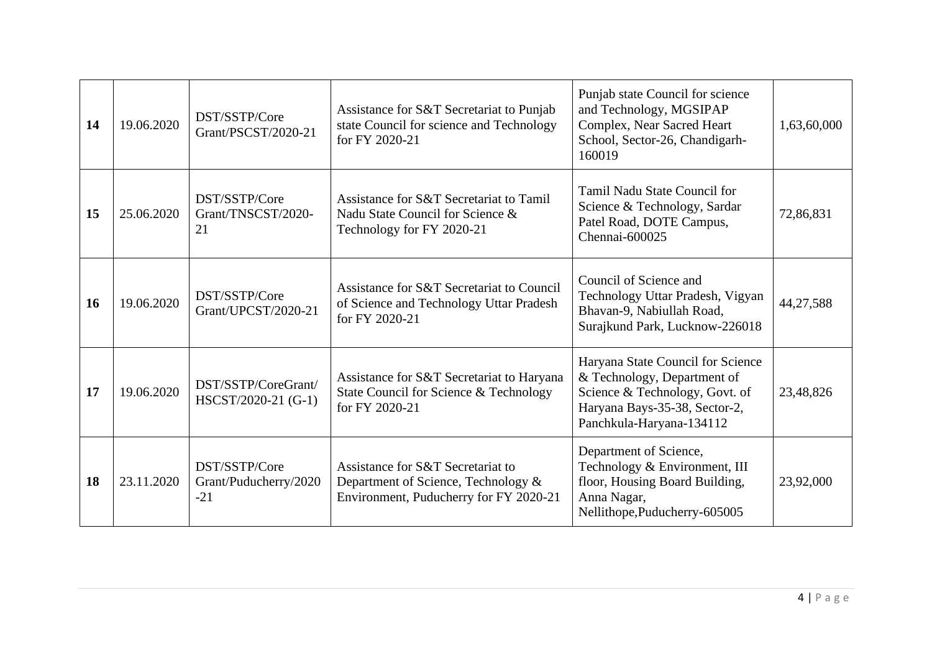| 14        | 19.06.2020 | DST/SSTP/Core<br>Grant/PSCST/2020-21            | Assistance for S&T Secretariat to Punjab<br>state Council for science and Technology<br>for FY 2020-21             | Punjab state Council for science<br>and Technology, MGSIPAP<br>Complex, Near Sacred Heart<br>School, Sector-26, Chandigarh-<br>160019                           | 1,63,60,000 |
|-----------|------------|-------------------------------------------------|--------------------------------------------------------------------------------------------------------------------|-----------------------------------------------------------------------------------------------------------------------------------------------------------------|-------------|
| 15        | 25.06.2020 | DST/SSTP/Core<br>Grant/TNSCST/2020-<br>21       | Assistance for S&T Secretariat to Tamil<br>Nadu State Council for Science &<br>Technology for FY 2020-21           | Tamil Nadu State Council for<br>Science & Technology, Sardar<br>Patel Road, DOTE Campus,<br>Chennai-600025                                                      | 72,86,831   |
| <b>16</b> | 19.06.2020 | DST/SSTP/Core<br>Grant/UPCST/2020-21            | Assistance for S&T Secretariat to Council<br>of Science and Technology Uttar Pradesh<br>for FY 2020-21             | Council of Science and<br>Technology Uttar Pradesh, Vigyan<br>Bhavan-9, Nabiullah Road,<br>Surajkund Park, Lucknow-226018                                       | 44,27,588   |
| 17        | 19.06.2020 | DST/SSTP/CoreGrant/<br>HSCST/2020-21 (G-1)      | Assistance for S&T Secretariat to Haryana<br>State Council for Science & Technology<br>for FY 2020-21              | Haryana State Council for Science<br>& Technology, Department of<br>Science & Technology, Govt. of<br>Haryana Bays-35-38, Sector-2,<br>Panchkula-Haryana-134112 | 23,48,826   |
| <b>18</b> | 23.11.2020 | DST/SSTP/Core<br>Grant/Puducherry/2020<br>$-21$ | Assistance for S&T Secretariat to<br>Department of Science, Technology &<br>Environment, Puducherry for FY 2020-21 | Department of Science,<br>Technology & Environment, III<br>floor, Housing Board Building,<br>Anna Nagar,<br>Nellithope, Puducherry-605005                       | 23,92,000   |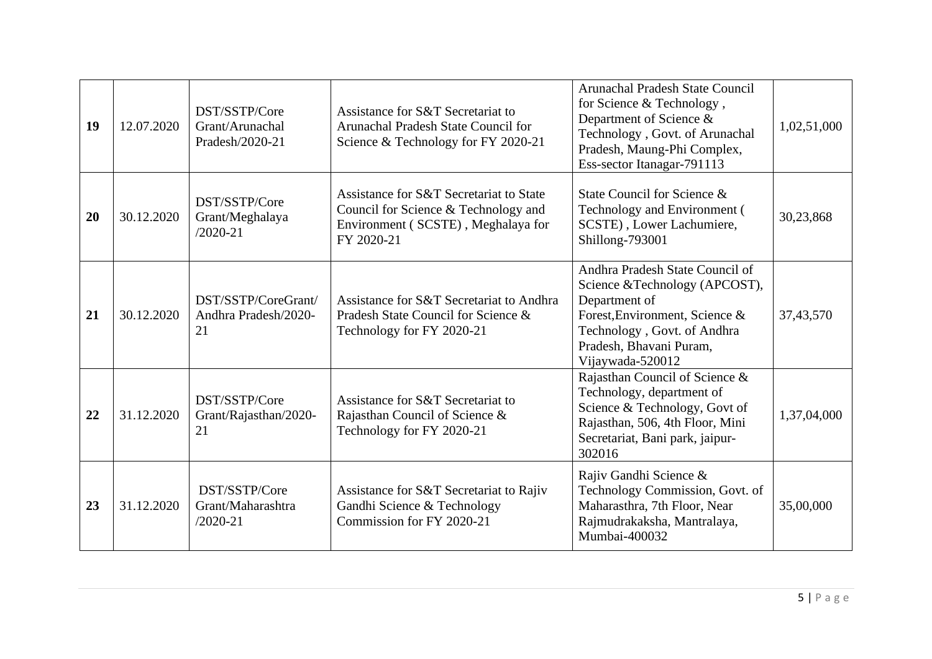| 19 | 12.07.2020 | DST/SSTP/Core<br>Grant/Arunachal<br>Pradesh/2020-21 | Assistance for S&T Secretariat to<br>Arunachal Pradesh State Council for<br>Science & Technology for FY 2020-21                     | <b>Arunachal Pradesh State Council</b><br>for Science & Technology,<br>Department of Science &<br>Technology, Govt. of Arunachal<br>Pradesh, Maung-Phi Complex,<br>Ess-sector Itanagar-791113      | 1,02,51,000 |
|----|------------|-----------------------------------------------------|-------------------------------------------------------------------------------------------------------------------------------------|----------------------------------------------------------------------------------------------------------------------------------------------------------------------------------------------------|-------------|
| 20 | 30.12.2020 | DST/SSTP/Core<br>Grant/Meghalaya<br>$/2020 - 21$    | Assistance for S&T Secretariat to State<br>Council for Science & Technology and<br>Environment (SCSTE), Meghalaya for<br>FY 2020-21 | State Council for Science &<br>Technology and Environment (<br>SCSTE), Lower Lachumiere,<br>Shillong-793001                                                                                        | 30,23,868   |
| 21 | 30.12.2020 | DST/SSTP/CoreGrant/<br>Andhra Pradesh/2020-<br>21   | Assistance for S&T Secretariat to Andhra<br>Pradesh State Council for Science &<br>Technology for FY 2020-21                        | Andhra Pradesh State Council of<br>Science & Technology (APCOST),<br>Department of<br>Forest, Environment, Science &<br>Technology, Govt. of Andhra<br>Pradesh, Bhavani Puram,<br>Vijaywada-520012 | 37,43,570   |
| 22 | 31.12.2020 | DST/SSTP/Core<br>Grant/Rajasthan/2020-<br>21        | Assistance for S&T Secretariat to<br>Rajasthan Council of Science &<br>Technology for FY 2020-21                                    | Rajasthan Council of Science &<br>Technology, department of<br>Science & Technology, Govt of<br>Rajasthan, 506, 4th Floor, Mini<br>Secretariat, Bani park, jaipur-<br>302016                       | 1,37,04,000 |
| 23 | 31.12.2020 | DST/SSTP/Core<br>Grant/Maharashtra<br>$/2020 - 21$  | Assistance for S&T Secretariat to Rajiv<br>Gandhi Science & Technology<br>Commission for FY 2020-21                                 | Rajiv Gandhi Science &<br>Technology Commission, Govt. of<br>Maharasthra, 7th Floor, Near<br>Rajmudrakaksha, Mantralaya,<br>Mumbai-400032                                                          | 35,00,000   |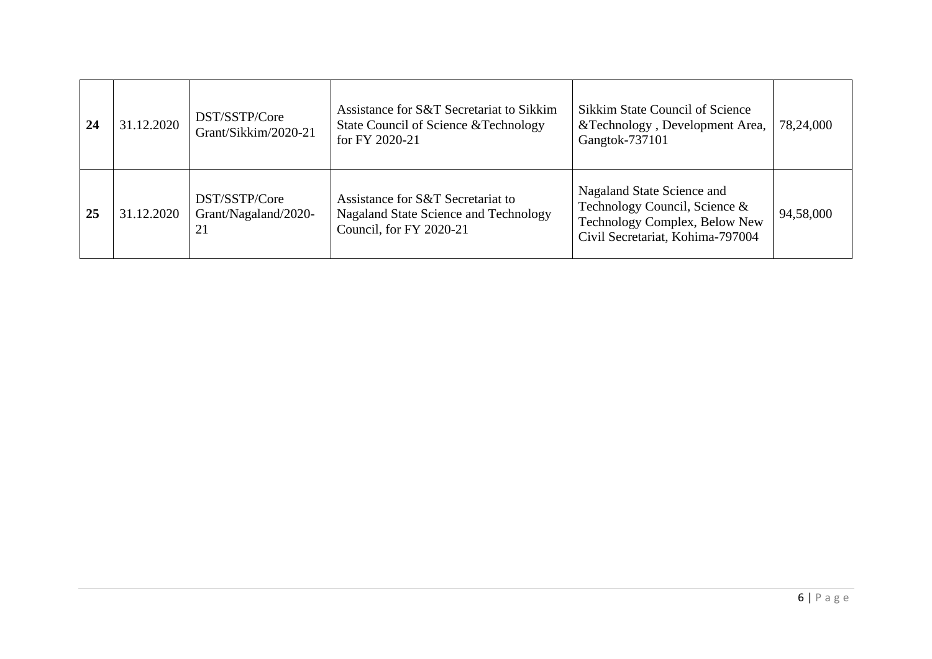| 24 | 31.12.2020 | DST/SSTP/Core<br>Grant/Sikkim/2020-21       | Assistance for S&T Secretariat to Sikkim<br>State Council of Science & Technology<br>for FY 2020-21   | Sikkim State Council of Science<br>&Technology, Development Area,<br>Gangtok-737101                                              | 78,24,000 |
|----|------------|---------------------------------------------|-------------------------------------------------------------------------------------------------------|----------------------------------------------------------------------------------------------------------------------------------|-----------|
| 25 | 31.12.2020 | DST/SSTP/Core<br>Grant/Nagaland/2020-<br>21 | Assistance for S&T Secretariat to<br>Nagaland State Science and Technology<br>Council, for FY 2020-21 | Nagaland State Science and<br>Technology Council, Science &<br>Technology Complex, Below New<br>Civil Secretariat, Kohima-797004 | 94,58,000 |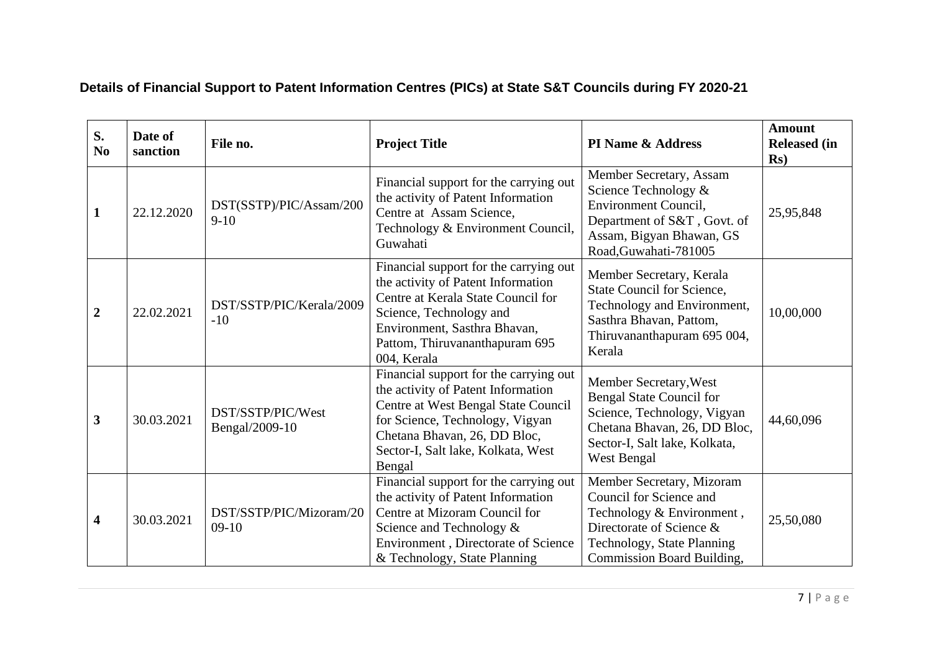## **Details of Financial Support to Patent Information Centres (PICs) at State S&T Councils during FY 2020-21**

| S.<br>N <sub>0</sub>    | Date of<br>sanction | File no.                            | <b>Project Title</b>                                                                                                                                                                                                                   | PI Name & Address                                                                                                                                                                | <b>Amount</b><br><b>Released (in</b><br>$\mathbf{Rs}$ |
|-------------------------|---------------------|-------------------------------------|----------------------------------------------------------------------------------------------------------------------------------------------------------------------------------------------------------------------------------------|----------------------------------------------------------------------------------------------------------------------------------------------------------------------------------|-------------------------------------------------------|
| $\mathbf{1}$            | 22.12.2020          | DST(SSTP)/PIC/Assam/200<br>$9-10$   | Financial support for the carrying out<br>the activity of Patent Information<br>Centre at Assam Science,<br>Technology & Environment Council,<br>Guwahati                                                                              | Member Secretary, Assam<br>Science Technology &<br>Environment Council,<br>Department of S&T, Govt. of<br>Assam, Bigyan Bhawan, GS<br>Road, Guwahati-781005                      | 25,95,848                                             |
| $\boldsymbol{2}$        | 22.02.2021          | DST/SSTP/PIC/Kerala/2009<br>$-10$   | Financial support for the carrying out<br>the activity of Patent Information<br>Centre at Kerala State Council for<br>Science, Technology and<br>Environment, Sasthra Bhavan,<br>Pattom, Thiruvananthapuram 695<br>004, Kerala         | Member Secretary, Kerala<br>State Council for Science,<br>Technology and Environment,<br>Sasthra Bhavan, Pattom,<br>Thiruvananthapuram 695 004,<br>Kerala                        | 10,00,000                                             |
| $\mathbf{3}$            | 30.03.2021          | DST/SSTP/PIC/West<br>Bengal/2009-10 | Financial support for the carrying out<br>the activity of Patent Information<br>Centre at West Bengal State Council<br>for Science, Technology, Vigyan<br>Chetana Bhavan, 26, DD Bloc,<br>Sector-I, Salt lake, Kolkata, West<br>Bengal | Member Secretary, West<br><b>Bengal State Council for</b><br>Science, Technology, Vigyan<br>Chetana Bhavan, 26, DD Bloc,<br>Sector-I, Salt lake, Kolkata,<br>West Bengal         | 44,60,096                                             |
| $\overline{\mathbf{4}}$ | 30.03.2021          | DST/SSTP/PIC/Mizoram/20<br>$09-10$  | Financial support for the carrying out<br>the activity of Patent Information<br>Centre at Mizoram Council for<br>Science and Technology &<br>Environment, Directorate of Science<br>& Technology, State Planning                       | Member Secretary, Mizoram<br>Council for Science and<br>Technology & Environment,<br>Directorate of Science &<br>Technology, State Planning<br><b>Commission Board Building,</b> | 25,50,080                                             |